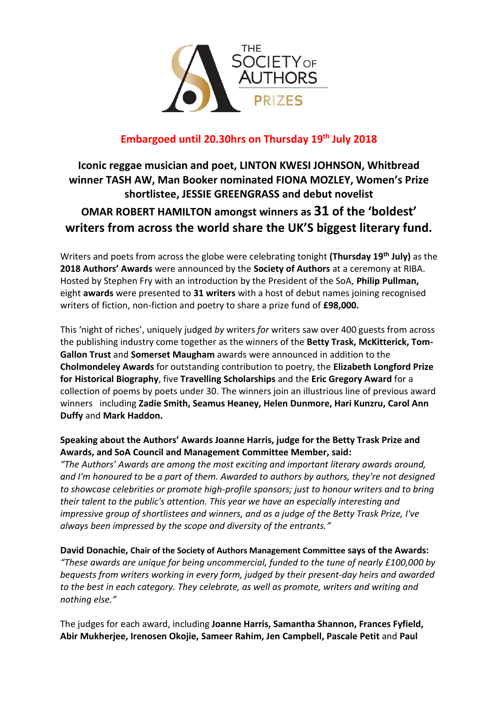

# **Embargoed until 20.30hrs on Thursday 19th July 2018**

# **Iconic reggae musician and poet, LINTON KWESI JOHNSON, Whitbread winner TASH AW, Man Booker nominated FIONA MOZLEY, Women's Prize shortlistee, JESSIE GREENGRASS and debut novelist OMAR ROBERT HAMILTON amongst winners as 31 of the 'boldest' writers from across the world share the UK'S biggest literary fund.**

Writers and poets from across the globe were celebrating tonight **(Thursday 19th July)** as the **2018 Authors' Awards** were announced by the **Society of Authors** at a ceremony at RIBA. Hosted by Stephen Fry with an introduction by the President of the SoA, **Philip Pullman,** eight **awards** were presented to **31 writers** with a host of debut names joining recognised writers of fiction, non-fiction and poetry to share a prize fund of **£98,000.**

This 'night of riches', uniquely judged *by* writers *for* writers saw over 400 guests from across the publishing industry come together as the winners of the **Betty Trask, McKitterick, Tom-Gallon Trust** and **Somerset Maugham** awards were announced in addition to the **Cholmondeley Awards** for outstanding contribution to poetry, the **Elizabeth Longford Prize for Historical Biography**, five **Travelling Scholarships** and the **Eric Gregory Award** for a collection of poems by poets under 30. The winners join an illustrious line of previous award winners including **Zadie Smith, Seamus Heaney, Helen Dunmore, Hari Kunzru, Carol Ann Duffy** and **Mark Haddon.**

# **Speaking about the Authors' Awards Joanne Harris, judge for the Betty Trask Prize and Awards, and SoA Council and Management Committee Member, said:**

*"The Authors' Awards are among the most exciting and important literary awards around, and I'm honoured to be a part of them. Awarded to authors by authors, they're not designed to showcase celebrities or promote high-profile sponsors; just to honour writers and to bring their talent to the public's attention. This year we have an especially interesting and impressive group of shortlistees and winners, and as a judge of the Betty Trask Prize, I've always been impressed by the scope and diversity of the entrants."*

**David Donachie, Chair of the Society of Authors Management Committee says of the Awards:** *"These awards are unique for being uncommercial, funded to the tune of nearly £100,000 by bequests from writers working in every form, judged by their present-day heirs and awarded to the best in each category. They celebrate, as well as promote, writers and writing and nothing else."*

The judges for each award, including **Joanne Harris, Samantha Shannon, Frances Fyfield, Abir Mukherjee, Irenosen Okojie, Sameer Rahim, Jen Campbell, Pascale Petit** and **Paul**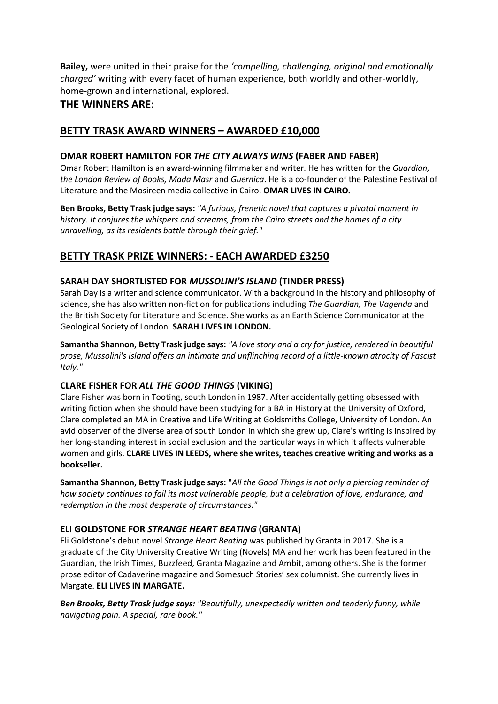**Bailey,** were united in their praise for the *'compelling, challenging, original and emotionally charged'* writing with every facet of human experience, both worldly and other-worldly, home-grown and international, explored.

# **THE WINNERS ARE:**

# **BETTY TRASK AWARD WINNERS – AWARDED £10,000**

### **OMAR ROBERT HAMILTON FOR** *THE CITY ALWAYS WINS* **(FABER AND FABER)**

Omar Robert Hamilton is an award-winning filmmaker and writer. He has written for the *Guardian, the London Review of Books, Mada Masr* and *Guernica*. He is a co-founder of the Palestine Festival of Literature and the Mosireen media collective in Cairo. **OMAR LIVES IN CAIRO.**

**Ben Brooks, Betty Trask judge says:** *"A furious, frenetic novel that captures a pivotal moment in history. It conjures the whispers and screams, from the Cairo streets and the homes of a city unravelling, as its residents battle through their grief."*

# **BETTY TRASK PRIZE WINNERS: - EACH AWARDED £3250**

### **SARAH DAY SHORTLISTED FOR** *MUSSOLINI'S ISLAND* **(TINDER PRESS)**

Sarah Day is a writer and science communicator. With a background in the history and philosophy of science, she has also written non-fiction for publications including *The Guardian, The Vagenda* and the British Society for Literature and Science. She works as an Earth Science Communicator at the Geological Society of London. **SARAH LIVES IN LONDON.**

**Samantha Shannon, Betty Trask judge says:** *"A love story and a cry for justice, rendered in beautiful prose, Mussolini's Island offers an intimate and unflinching record of a little-known atrocity of Fascist Italy."*

### **CLARE FISHER FOR** *ALL THE GOOD THINGS* **(VIKING)**

Clare Fisher was born in Tooting, south London in 1987. After accidentally getting obsessed with writing fiction when she should have been studying for a BA in History at the University of Oxford, Clare completed an MA in Creative and Life Writing at Goldsmiths College, University of London. An avid observer of the diverse area of south London in which she grew up, Clare's writing is inspired by her long-standing interest in social exclusion and the particular ways in which it affects vulnerable women and girls. **CLARE LIVES IN LEEDS, where she writes, teaches creative writing and works as a bookseller.**

**Samantha Shannon, Betty Trask judge says:** "*All the Good Things is not only a piercing reminder of how society continues to fail its most vulnerable people, but a celebration of love, endurance, and redemption in the most desperate of circumstances."* 

### **ELI GOLDSTONE FOR** *STRANGE HEART BEATING* **(GRANTA)**

Eli Goldstone's debut novel *Strange Heart Beating* was published by Granta in 2017. She is a graduate of the City University Creative Writing (Novels) MA and her work has been featured in the Guardian, the Irish Times, Buzzfeed, Granta Magazine and Ambit, among others. She is the former prose editor of Cadaverine magazine and Somesuch Stories' sex columnist. She currently lives in Margate. **ELI LIVES IN MARGATE.**

*Ben Brooks, Betty Trask judge says: "Beautifully, unexpectedly written and tenderly funny, while navigating pain. A special, rare book."*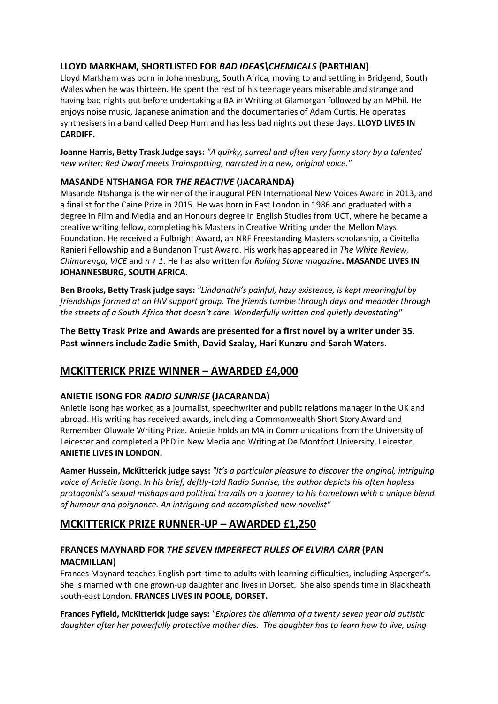### **LLOYD MARKHAM, SHORTLISTED FOR** *BAD IDEAS\CHEMICALS* **(PARTHIAN)**

Lloyd Markham was born in Johannesburg, South Africa, moving to and settling in Bridgend, South Wales when he was thirteen. He spent the rest of his teenage years miserable and strange and having bad nights out before undertaking a BA in Writing at Glamorgan followed by an MPhil. He enjoys noise music, Japanese animation and the documentaries of Adam Curtis. He operates synthesisers in a band called Deep Hum and has less bad nights out these days. **LLOYD LIVES IN CARDIFF.**

**Joanne Harris, Betty Trask Judge says:** *"A quirky, surreal and often very funny story by a talented new writer: Red Dwarf meets Trainspotting, narrated in a new, original voice."*

### **MASANDE NTSHANGA FOR** *THE REACTIVE* **(JACARANDA)**

Masande Ntshanga is the winner of the inaugural PEN International New Voices Award in 2013, and a finalist for the Caine Prize in 2015. He was born in East London in 1986 and graduated with a degree in Film and Media and an Honours degree in English Studies from UCT, where he became a creative writing fellow, completing his Masters in Creative Writing under the Mellon Mays Foundation. He received a Fulbright Award, an NRF Freestanding Masters scholarship, a Civitella Ranieri Fellowship and a Bundanon Trust Award. His work has appeared in *The White Review, Chimurenga, VICE* and *n + 1*. He has also written for *Rolling Stone magazine***. MASANDE LIVES IN JOHANNESBURG, SOUTH AFRICA.**

**Ben Brooks, Betty Trask judge says:** *"Lindanathi's painful, hazy existence, is kept meaningful by friendships formed at an HIV support group. The friends tumble through days and meander through the streets of a South Africa that doesn't care. Wonderfully written and quietly devastating"* 

**The Betty Trask Prize and Awards are presented for a first novel by a writer under 35. Past winners include Zadie Smith, David Szalay, Hari Kunzru and Sarah Waters.** 

# **MCKITTERICK PRIZE WINNER – AWARDED £4,000**

### **ANIETIE ISONG FOR** *RADIO SUNRISE* **(JACARANDA)**

Anietie Isong has worked as a journalist, speechwriter and public relations manager in the UK and abroad. His writing has received awards, including a Commonwealth Short Story Award and Remember Oluwale Writing Prize. Anietie holds an MA in Communications from the University of Leicester and completed a PhD in New Media and Writing at De Montfort University, Leicester. **ANIETIE LIVES IN LONDON.**

**Aamer Hussein, McKitterick judge says:** *"It's a particular pleasure to discover the original, intriguing voice of Anietie Isong. In his brief, deftly-told Radio Sunrise, the author depicts his often hapless protagonist's sexual mishaps and political travails on a journey to his hometown with a unique blend of humour and poignance. An intriguing and accomplished new novelist"*

# **MCKITTERICK PRIZE RUNNER-UP – AWARDED £1,250**

# **FRANCES MAYNARD FOR** *THE SEVEN IMPERFECT RULES OF ELVIRA CARR* **(PAN MACMILLAN)**

Frances Maynard teaches English part-time to adults with learning difficulties, including Asperger's. She is married with one grown-up daughter and lives in Dorset. She also spends time in Blackheath south-east London. **FRANCES LIVES IN POOLE, DORSET.**

**Frances Fyfield, McKitterick judge says:** *"Explores the dilemma of a twenty seven year old autistic daughter after her powerfully protective mother dies. The daughter has to learn how to live, using*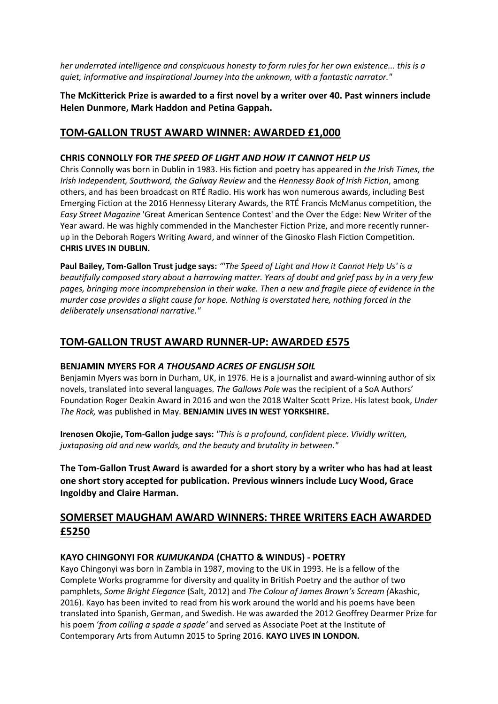*her underrated intelligence and conspicuous honesty to form rules for her own existence... this is a quiet, informative and inspirational Journey into the unknown, with a fantastic narrator."*

**The McKitterick Prize is awarded to a first novel by a writer over 40. Past winners include Helen Dunmore, Mark Haddon and Petina Gappah.** 

### **TOM-GALLON TRUST AWARD WINNER: AWARDED £1,000**

#### **CHRIS CONNOLLY FOR** *THE SPEED OF LIGHT AND HOW IT CANNOT HELP US*

Chris Connolly was born in Dublin in 1983. His fiction and poetry has appeared in *the Irish Times, the Irish Independent, Southword, the Galway Review* and the *Hennessy Book of Irish Fiction*, among others, and has been broadcast on RTÉ Radio. His work has won numerous awards, including Best Emerging Fiction at the 2016 Hennessy Literary Awards, the RTÉ Francis McManus competition, the *Easy Street Magazine* 'Great American Sentence Contest' and the Over the Edge: New Writer of the Year award. He was highly commended in the Manchester Fiction Prize, and more recently runnerup in the Deborah Rogers Writing Award, and winner of the Ginosko Flash Fiction Competition. **CHRIS LIVES IN DUBLIN.**

**Paul Bailey, Tom-Gallon Trust judge says:** *"'The Speed of Light and How it Cannot Help Us' is a beautifully composed story about a harrowing matter. Years of doubt and grief pass by in a very few pages, bringing more incomprehension in their wake. Then a new and fragile piece of evidence in the murder case provides a slight cause for hope. Nothing is overstated here, nothing forced in the deliberately unsensational narrative."*

# **TOM-GALLON TRUST AWARD RUNNER-UP: AWARDED £575**

#### **BENJAMIN MYERS FOR** *A THOUSAND ACRES OF ENGLISH SOIL*

Benjamin Myers was born in Durham, UK, in 1976. He is a journalist and award-winning author of six novels, translated into several languages. *The Gallows Pole* was the recipient of a SoA Authors' Foundation Roger Deakin Award in 2016 and won the 2018 Walter Scott Prize. His latest book, *Under The Rock,* was published in May. **BENJAMIN LIVES IN WEST YORKSHIRE.** 

**Irenosen Okojie, Tom-Gallon judge says:** *"This is a profound, confident piece. Vividly written, juxtaposing old and new worlds, and the beauty and brutality in between."*

**The Tom-Gallon Trust Award is awarded for a short story by a writer who has had at least one short story accepted for publication. Previous winners include Lucy Wood, Grace Ingoldby and Claire Harman.** 

# **SOMERSET MAUGHAM AWARD WINNERS: THREE WRITERS EACH AWARDED £5250**

### **KAYO CHINGONYI FOR** *KUMUKANDA* **(CHATTO & WINDUS) - POETRY**

Kayo Chingonyi was born in Zambia in 1987, moving to the UK in 1993. He is a fellow of the Complete Works programme for diversity and quality in British Poetry and the author of two pamphlets, *Some Bright Elegance* (Salt, 2012) and *The Colour of James Brown's Scream (*Akashic, 2016). Kayo has been invited to read from his work around the world and his poems have been translated into Spanish, German, and Swedish. He was awarded the 2012 Geoffrey Dearmer Prize for his poem '*from calling a spade a spade'* and served as Associate Poet at the Institute of Contemporary Arts from Autumn 2015 to Spring 2016. **KAYO LIVES IN LONDON.**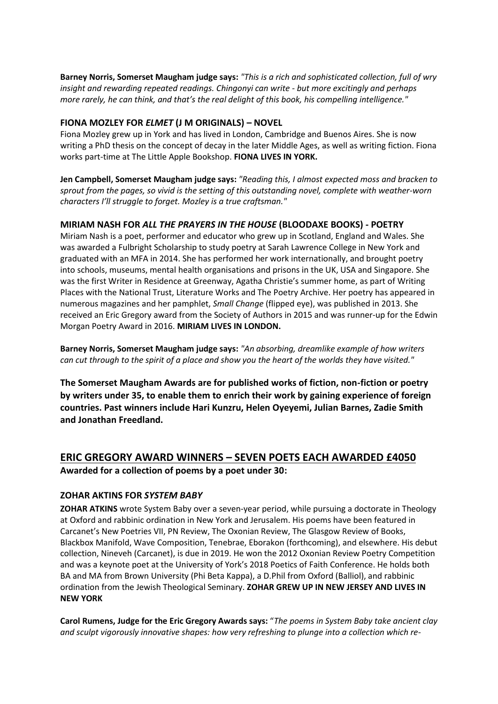**Barney Norris, Somerset Maugham judge says:** *"This is a rich and sophisticated collection, full of wry insight and rewarding repeated readings. Chingonyi can write - but more excitingly and perhaps more rarely, he can think, and that's the real delight of this book, his compelling intelligence."* 

#### **FIONA MOZLEY FOR** *ELMET* **(J M ORIGINALS) – NOVEL**

Fiona Mozley grew up in York and has lived in London, Cambridge and Buenos Aires. She is now writing a PhD thesis on the concept of decay in the later Middle Ages, as well as writing fiction. Fiona works part-time at The Little Apple Bookshop. **FIONA LIVES IN YORK.**

**Jen Campbell, Somerset Maugham judge says:** *"Reading this, I almost expected moss and bracken to sprout from the pages, so vivid is the setting of this outstanding novel, complete with weather-worn characters I'll struggle to forget. Mozley is a true craftsman."*

#### **MIRIAM NASH FOR** *ALL THE PRAYERS IN THE HOUSE* **(BLOODAXE BOOKS) - POETRY**

Miriam Nash is a poet, performer and educator who grew up in Scotland, England and Wales. She was awarded a Fulbright Scholarship to study poetry at Sarah Lawrence College in New York and graduated with an MFA in 2014. She has performed her work internationally, and brought poetry into schools, museums, mental health organisations and prisons in the UK, USA and Singapore. She was the first Writer in Residence at Greenway, Agatha Christie's summer home, as part of Writing Places with the National Trust, Literature Works and The Poetry Archive. Her poetry has appeared in numerous magazines and her pamphlet, *Small Change* (flipped eye), was published in 2013. She received an Eric Gregory award from the Society of Authors in 2015 and was runner-up for the Edwin Morgan Poetry Award in 2016. **MIRIAM LIVES IN LONDON.**

**Barney Norris, Somerset Maugham judge says:** *"An absorbing, dreamlike example of how writers can cut through to the spirit of a place and show you the heart of the worlds they have visited."*

**The Somerset Maugham Awards are for published works of fiction, non-fiction or poetry by writers under 35, to enable them to enrich their work by gaining experience of foreign countries. Past winners include Hari Kunzru, Helen Oyeyemi, Julian Barnes, Zadie Smith and Jonathan Freedland.** 

# **ERIC GREGORY AWARD WINNERS – SEVEN POETS EACH AWARDED £4050 Awarded for a collection of poems by a poet under 30:**

#### **ZOHAR AKTINS FOR** *SYSTEM BABY*

**ZOHAR ATKINS** wrote System Baby over a seven-year period, while pursuing a doctorate in Theology at Oxford and rabbinic ordination in New York and Jerusalem. His poems have been featured in Carcanet's New Poetries VII, PN Review, The Oxonian Review, The Glasgow Review of Books, Blackbox Manifold, Wave Composition, Tenebrae, Eborakon (forthcoming), and elsewhere. His debut collection, Nineveh (Carcanet), is due in 2019. He won the 2012 Oxonian Review Poetry Competition and was a keynote poet at the University of York's 2018 Poetics of Faith Conference. He holds both BA and MA from Brown University (Phi Beta Kappa), a D.Phil from Oxford (Balliol), and rabbinic ordination from the Jewish Theological Seminary. **ZOHAR GREW UP IN NEW JERSEY AND LIVES IN NEW YORK**

**Carol Rumens, Judge for the Eric Gregory Awards says:** "*The poems in System Baby take ancient clay and sculpt vigorously innovative shapes: how very refreshing to plunge into a collection which re-*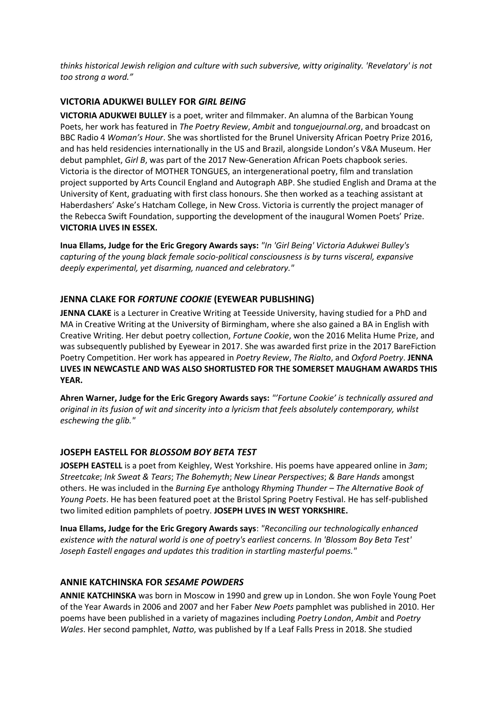*thinks historical Jewish religion and culture with such subversive, witty originality. 'Revelatory' is not too strong a word."*

#### **VICTORIA ADUKWEI BULLEY FOR** *GIRL BEING*

**VICTORIA ADUKWEI BULLEY** is a poet, writer and filmmaker. An alumna of the Barbican Young Poets, her work has featured in *The Poetry Review*, *Ambit* and *tonguejournal.org*, and broadcast on BBC Radio 4 *Woman's Hour*. She was shortlisted for the Brunel University African Poetry Prize 2016, and has held residencies internationally in the US and Brazil, alongside London's V&A Museum. Her debut pamphlet, *Girl B*, was part of the 2017 New-Generation African Poets chapbook series. Victoria is the director of MOTHER TONGUES, an intergenerational poetry, film and translation project supported by Arts Council England and Autograph ABP. She studied English and Drama at the University of Kent, graduating with first class honours. She then worked as a teaching assistant at Haberdashers' Aske's Hatcham College, in New Cross. Victoria is currently the project manager of the Rebecca Swift Foundation, supporting the development of the inaugural Women Poets' Prize. **VICTORIA LIVES IN ESSEX.**

**Inua Ellams, Judge for the Eric Gregory Awards says:** *"In 'Girl Being' Victoria Adukwei Bulley's capturing of the young black female socio-political consciousness is by turns visceral, expansive deeply experimental, yet disarming, nuanced and celebratory."*

### **JENNA CLAKE FOR** *FORTUNE COOKIE* **(EYEWEAR PUBLISHING)**

**JENNA CLAKE** is a Lecturer in Creative Writing at Teesside University, having studied for a PhD and MA in Creative Writing at the University of Birmingham, where she also gained a BA in English with Creative Writing. Her debut poetry collection, *Fortune Cookie*, won the 2016 Melita Hume Prize, and was subsequently published by Eyewear in 2017. She was awarded first prize in the 2017 BareFiction Poetry Competition. Her work has appeared in *Poetry Review*, *The Rialto*, and *Oxford Poetry*. **JENNA LIVES IN NEWCASTLE AND WAS ALSO SHORTLISTED FOR THE SOMERSET MAUGHAM AWARDS THIS YEAR.**

**Ahren Warner, Judge for the Eric Gregory Awards says:** *"'Fortune Cookie' is technically assured and original in its fusion of wit and sincerity into a lyricism that feels absolutely contemporary, whilst eschewing the glib."*

#### **JOSEPH EASTELL FOR** *BLOSSOM BOY BETA TEST*

**JOSEPH EASTELL** is a poet from Keighley, West Yorkshire. His poems have appeared online in *3am*; *Streetcake*; *Ink Sweat & Tears*; *The Bohemyth*; *New Linear Perspectives*; *& Bare Hands* amongst others. He was included in the *Burning Eye* anthology *Rhyming Thunder – The Alternative Book of Young Poets*. He has been featured poet at the Bristol Spring Poetry Festival. He has self-published two limited edition pamphlets of poetry. **JOSEPH LIVES IN WEST YORKSHIRE.**

**Inua Ellams, Judge for the Eric Gregory Awards says**: *"Reconciling our technologically enhanced existence with the natural world is one of poetry's earliest concerns. In 'Blossom Boy Beta Test' Joseph Eastell engages and updates this tradition in startling masterful poems."*

#### **ANNIE KATCHINSKA FOR** *SESAME POWDERS*

**ANNIE KATCHINSKA** was born in Moscow in 1990 and grew up in London. She won Foyle Young Poet of the Year Awards in 2006 and 2007 and her Faber *New Poets* pamphlet was published in 2010. Her poems have been published in a variety of magazines including *Poetry London*, *Ambit* and *Poetry Wales*. Her second pamphlet, *Natto*, was published by If a Leaf Falls Press in 2018. She studied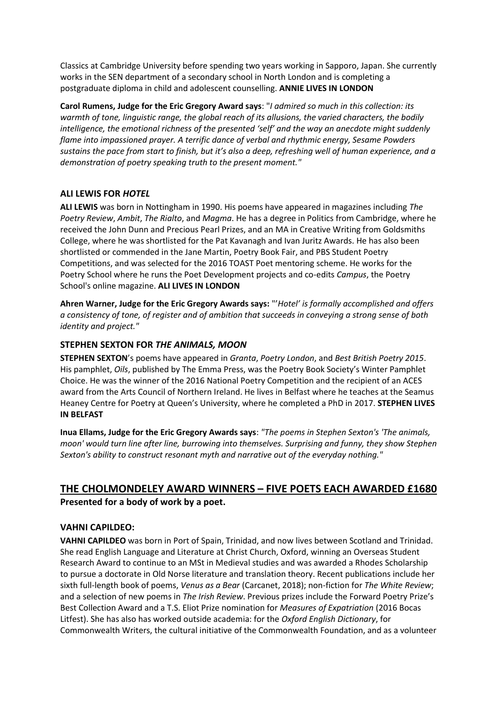Classics at Cambridge University before spending two years working in Sapporo, Japan. She currently works in the SEN department of a secondary school in North London and is completing a postgraduate diploma in child and adolescent counselling. **ANNIE LIVES IN LONDON**

**Carol Rumens, Judge for the Eric Gregory Award says**: "*I admired so much in this collection: its warmth of tone, linguistic range, the global reach of its allusions, the varied characters, the bodily intelligence, the emotional richness of the presented 'self' and the way an anecdote might suddenly flame into impassioned prayer. A terrific dance of verbal and rhythmic energy, Sesame Powders sustains the pace from start to finish, but it's also a deep, refreshing well of human experience, and a demonstration of poetry speaking truth to the present moment."*

#### **ALI LEWIS FOR** *HOTEL*

**ALI LEWIS** was born in Nottingham in 1990. His poems have appeared in magazines including *The Poetry Review*, *Ambit*, *The Rialto*, and *Magma*. He has a degree in Politics from Cambridge, where he received the John Dunn and Precious Pearl Prizes, and an MA in Creative Writing from Goldsmiths College, where he was shortlisted for the Pat Kavanagh and Ivan Juritz Awards. He has also been shortlisted or commended in the Jane Martin, Poetry Book Fair, and PBS Student Poetry Competitions, and was selected for the 2016 TOAST Poet mentoring scheme. He works for the Poetry School where he runs the Poet Development projects and co-edits *Campus*, the Poetry School's online magazine. **ALI LIVES IN LONDON**

**Ahren Warner, Judge for the Eric Gregory Awards says:** "'*Hotel' is formally accomplished and offers a consistency of tone, of register and of ambition that succeeds in conveying a strong sense of both identity and project."*

### **STEPHEN SEXTON FOR** *THE ANIMALS, MOON*

**STEPHEN SEXTON**'s poems have appeared in *Granta*, *Poetry London*, and *Best British Poetry 2015*. His pamphlet, *Oils*, published by The Emma Press, was the Poetry Book Society's Winter Pamphlet Choice. He was the winner of the 2016 National Poetry Competition and the recipient of an ACES award from the Arts Council of Northern Ireland. He lives in Belfast where he teaches at the Seamus Heaney Centre for Poetry at Queen's University, where he completed a PhD in 2017. **STEPHEN LIVES IN BELFAST**

**Inua Ellams, Judge for the Eric Gregory Awards says**: *"The poems in Stephen Sexton's 'The animals, moon' would turn line after line, burrowing into themselves. Surprising and funny, they show Stephen Sexton's ability to construct resonant myth and narrative out of the everyday nothing."*

# **THE CHOLMONDELEY AWARD WINNERS – FIVE POETS EACH AWARDED £1680 Presented for a body of work by a poet.**

#### **VAHNI CAPILDEO:**

**VAHNI CAPILDEO** was born in Port of Spain, Trinidad, and now lives between Scotland and Trinidad. She read English Language and Literature at Christ Church, Oxford, winning an Overseas Student Research Award to continue to an MSt in Medieval studies and was awarded a Rhodes Scholarship to pursue a doctorate in Old Norse literature and translation theory. Recent publications include her sixth full-length book of poems, *Venus as a Bear* (Carcanet, 2018); non-fiction for *The White Review*; and a selection of new poems in *The Irish Review*. Previous prizes include the Forward Poetry Prize's Best Collection Award and a T.S. Eliot Prize nomination for *Measures of Expatriation* (2016 Bocas Litfest). She has also has worked outside academia: for the *Oxford English Dictionary*, for Commonwealth Writers, the cultural initiative of the Commonwealth Foundation, and as a volunteer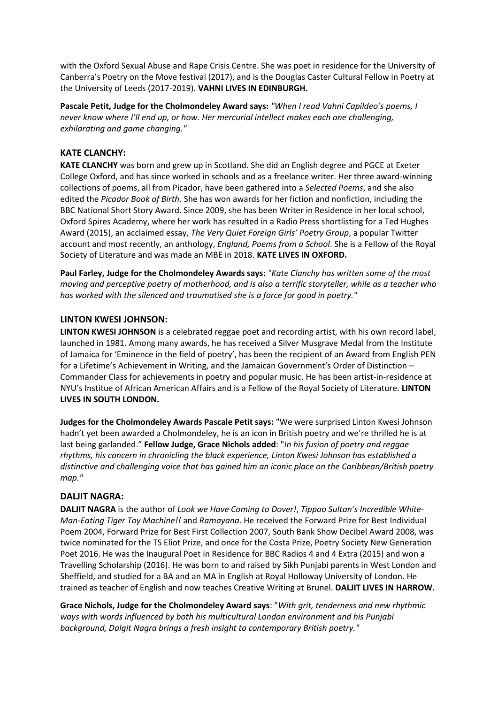with the Oxford Sexual Abuse and Rape Crisis Centre. She was poet in residence for the University of Canberra's Poetry on the Move festival (2017), and is the Douglas Caster Cultural Fellow in Poetry at the University of Leeds (2017-2019). **VAHNI LIVES IN EDINBURGH.**

**Pascale Petit, Judge for the Cholmondeley Award says:** *"When I read Vahni Capildeo's poems, I never know where I'll end up, or how. Her mercurial intellect makes each one challenging, exhilarating and game changing."*

#### **KATE CLANCHY:**

**KATE CLANCHY** was born and grew up in Scotland. She did an English degree and PGCE at Exeter College Oxford, and has since worked in schools and as a freelance writer. Her three award-winning collections of poems, all from Picador, have been gathered into a *Selected Poems*, and she also edited the *Picador Book of Birth*. She has won awards for her fiction and nonfiction, including the BBC National Short Story Award. Since 2009, she has been Writer in Residence in her local school, Oxford Spires Academy, where her work has resulted in a Radio Press shortlisting for a Ted Hughes Award (2015), an acclaimed essay, *The Very Quiet Foreign Girls' Poetry Group*, a popular Twitter account and most recently, an anthology, *England, Poems from a School*. She is a Fellow of the Royal Society of Literature and was made an MBE in 2018. **KATE LIVES IN OXFORD.**

**Paul Farley, Judge for the Cholmondeley Awards says:** *"Kate Clanchy has written some of the most moving and perceptive poetry of motherhood, and is also a terrific storyteller, while as a teacher who has worked with the silenced and traumatised she is a force for good in poetry."*

#### **LINTON KWESI JOHNSON:**

**LINTON KWESI JOHNSON** is a celebrated reggae poet and recording artist, with his own record label, launched in 1981. Among many awards, he has received a Silver Musgrave Medal from the Institute of Jamaica for 'Eminence in the field of poetry', has been the recipient of an Award from English PEN for a Lifetime's Achievement in Writing, and the Jamaican Government's Order of Distinction – Commander Class for achievements in poetry and popular music. He has been artist-in-residence at NYU's Institue of African American Affairs and is a Fellow of the Royal Society of Literature. **LINTON LIVES IN SOUTH LONDON.**

**Judges for the Cholmondeley Awards Pascale Petit says:** "We were surprised Linton Kwesi Johnson hadn't yet been awarded a Cholmondeley, he is an icon in British poetry and we're thrilled he is at last being garlanded." **Fellow Judge, Grace Nichols added**: "*In his fusion of poetry and reggae rhythms, his concern in chronicling the black experience, Linton Kwesi Johnson has established a distinctive and challenging voice that has gained him an iconic place on the Caribbean/British poetry map."*

#### **DALJIT NAGRA:**

**DALJIT NAGRA** is the author of *Look we Have Coming to Dover!*, *Tippoo Sultan's Incredible White-Man-Eating Tiger Toy Machine!!* and *Ramayana*. He received the Forward Prize for Best Individual Poem 2004, Forward Prize for Best First Collection 2007, South Bank Show Decibel Award 2008, was twice nominated for the TS Eliot Prize, and once for the Costa Prize, Poetry Society New Generation Poet 2016. He was the Inaugural Poet in Residence for BBC Radios 4 and 4 Extra (2015) and won a Travelling Scholarship (2016). He was born to and raised by Sikh Punjabi parents in West London and Sheffield, and studied for a BA and an MA in English at Royal Holloway University of London. He trained as teacher of English and now teaches Creative Writing at Brunel. **DALJIT LIVES IN HARROW.**

**Grace Nichols, Judge for the Cholmondeley Award says**: "*With grit, tenderness and new rhythmic ways with words influenced by both his multicultural London environment and his Punjabi background, Dalgit Nagra brings a fresh insight to contemporary British poetry."*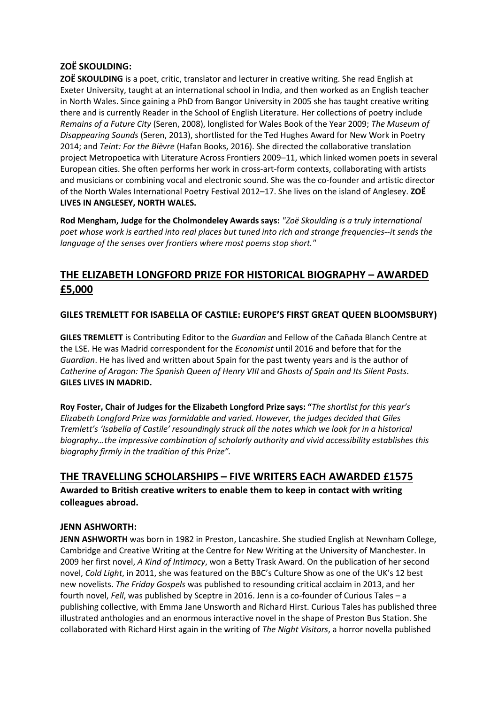### **ZOË SKOULDING:**

**ZOË SKOULDING** is a poet, critic, translator and lecturer in creative writing. She read English at Exeter University, taught at an international school in India, and then worked as an English teacher in North Wales. Since gaining a PhD from Bangor University in 2005 she has taught creative writing there and is currently Reader in the School of English Literature. Her collections of poetry include *Remains of a Future City* (Seren, 2008), longlisted for Wales Book of the Year 2009; *The Museum of Disappearing Sounds* (Seren, 2013), shortlisted for the Ted Hughes Award for New Work in Poetry 2014; and *Teint: For the Bièvre* (Hafan Books, 2016). She directed the collaborative translation project Metropoetica with Literature Across Frontiers 2009–11, which linked women poets in several European cities. She often performs her work in cross-art-form contexts, collaborating with artists and musicians or combining vocal and electronic sound. She was the co-founder and artistic director of the North Wales International Poetry Festival 2012–17. She lives on the island of Anglesey. **ZOË LIVES IN ANGLESEY, NORTH WALES.**

**Rod Mengham, Judge for the Cholmondeley Awards says:** *"Zoë Skoulding is a truly international poet whose work is earthed into real places but tuned into rich and strange frequencies--it sends the language of the senses over frontiers where most poems stop short."*

# **THE ELIZABETH LONGFORD PRIZE FOR HISTORICAL BIOGRAPHY – AWARDED £5,000**

**GILES TREMLETT FOR ISABELLA OF CASTILE: EUROPE'S FIRST GREAT QUEEN BLOOMSBURY)**

**GILES TREMLETT** is Contributing Editor to the *Guardian* and Fellow of the Cañada Blanch Centre at the LSE. He was Madrid correspondent for the *Economist* until 2016 and before that for the *Guardian*. He has lived and written about Spain for the past twenty years and is the author of *Catherine of Aragon: The Spanish Queen of Henry VIII* and *Ghosts of Spain and Its Silent Pasts*. **GILES LIVES IN MADRID.** 

**Roy Foster, Chair of Judges for the Elizabeth Longford Prize says: "***The shortlist for this year's Elizabeth Longford Prize was formidable and varied. However, the judges decided that Giles Tremlett's 'Isabella of Castile' resoundingly struck all the notes which we look for in a historical biography…the impressive combination of scholarly authority and vivid accessibility establishes this biography firmly in the tradition of this Prize".*

# **THE TRAVELLING SCHOLARSHIPS – FIVE WRITERS EACH AWARDED £1575**

**Awarded to British creative writers to enable them to keep in contact with writing colleagues abroad.** 

#### **JENN ASHWORTH:**

**JENN ASHWORTH** was born in 1982 in Preston, Lancashire. She studied English at Newnham College, Cambridge and Creative Writing at the Centre for New Writing at the University of Manchester. In 2009 her first novel, *A Kind of Intimacy*, won a Betty Trask Award. On the publication of her second novel, *Cold Light*, in 2011, she was featured on the BBC's Culture Show as one of the UK's 12 best new novelists. *The Friday Gospels* was published to resounding critical acclaim in 2013, and her fourth novel, *Fell*, was published by Sceptre in 2016. Jenn is a co-founder of Curious Tales – a publishing collective, with Emma Jane Unsworth and Richard Hirst. Curious Tales has published three illustrated anthologies and an enormous interactive novel in the shape of Preston Bus Station. She collaborated with Richard Hirst again in the writing of *The Night Visitors*, a horror novella published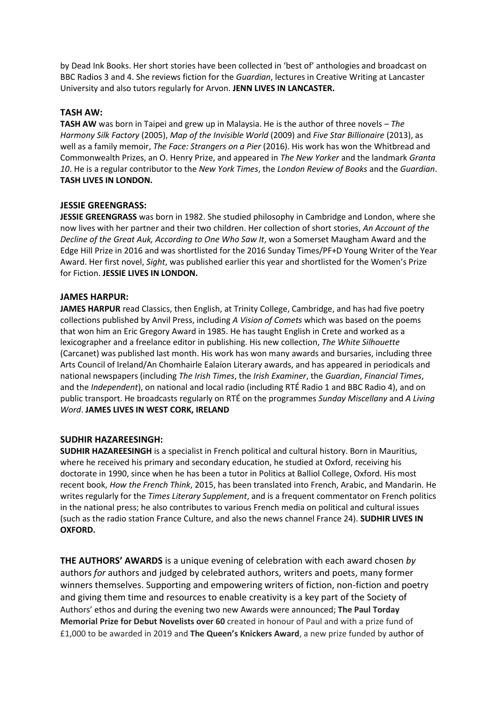by Dead Ink Books. Her short stories have been collected in 'best of' anthologies and broadcast on BBC Radios 3 and 4. She reviews fiction for the *Guardian*, lectures in Creative Writing at Lancaster University and also tutors regularly for Arvon. **JENN LIVES IN LANCASTER.**

#### **TASH AW:**

**TASH AW** was born in Taipei and grew up in Malaysia. He is the author of three novels – *The Harmony Silk Factory* (2005), *Map of the Invisible World* (2009) and *Five Star Billionaire* (2013), as well as a family memoir, *The Face: Strangers on a Pier* (2016). His work has won the Whitbread and Commonwealth Prizes, an O. Henry Prize, and appeared in *The New Yorker* and the landmark *Granta 10*. He is a regular contributor to the *New York Times*, the *London Review of Books* and the *Guardian*. **TASH LIVES IN LONDON.**

#### **JESSIE GREENGRASS:**

**JESSIE GREENGRASS** was born in 1982. She studied philosophy in Cambridge and London, where she now lives with her partner and their two children. Her collection of short stories, *An Account of the Decline of the Great Auk, According to One Who Saw It*, won a Somerset Maugham Award and the Edge Hill Prize in 2016 and was shortlisted for the 2016 Sunday Times/PF+D Young Writer of the Year Award. Her first novel, *Sight*, was published earlier this year and shortlisted for the Women's Prize for Fiction. **JESSIE LIVES IN LONDON.**

#### **JAMES HARPUR:**

**JAMES HARPUR** read Classics, then English, at Trinity College, Cambridge, and has had five poetry collections published by Anvil Press, including *A Vision of Comets* which was based on the poems that won him an Eric Gregory Award in 1985. He has taught English in Crete and worked as a lexicographer and a freelance editor in publishing. His new collection, *The White Silhouette*  (Carcanet) was published last month. His work has won many awards and bursaries, including three Arts Council of Ireland/An Chomhairle Ealaíon Literary awards, and has appeared in periodicals and national newspapers (including *The Irish Times*, the *Irish Examiner*, the *Guardian*, *Financial Times*, and the *Independent*), on national and local radio (including RTÉ Radio 1 and BBC Radio 4), and on public transport. He broadcasts regularly on RTÉ on the programmes *Sunday Miscellany* and *A Living Word*. **JAMES LIVES IN WEST CORK, IRELAND**

#### **SUDHIR HAZAREESINGH:**

**SUDHIR HAZAREESINGH** is a specialist in French political and cultural history. Born in Mauritius, where he received his primary and secondary education, he studied at Oxford, receiving his doctorate in 1990, since when he has been a tutor in Politics at Balliol College, Oxford. His most recent book, *How the French Think*, 2015, has been translated into French, Arabic, and Mandarin. He writes regularly for the *Times Literary Supplement*, and is a frequent commentator on French politics in the national press; he also contributes to various French media on political and cultural issues (such as the radio station France Culture, and also the news channel France 24). **SUDHIR LIVES IN OXFORD.**

**THE AUTHORS' AWARDS** is a unique evening of celebration with each award chosen *by* authors *for* authors and judged by celebrated authors, writers and poets, many former winners themselves. Supporting and empowering writers of fiction, non-fiction and poetry and giving them time and resources to enable creativity is a key part of the Society of Authors' ethos and during the evening two new Awards were announced; **The Paul Torday Memorial Prize for Debut Novelists over 60** created in honour of Paul and with a prize fund of £1,000 to be awarded in 2019 and **The Queen's Knickers Award**, a new prize funded by author of